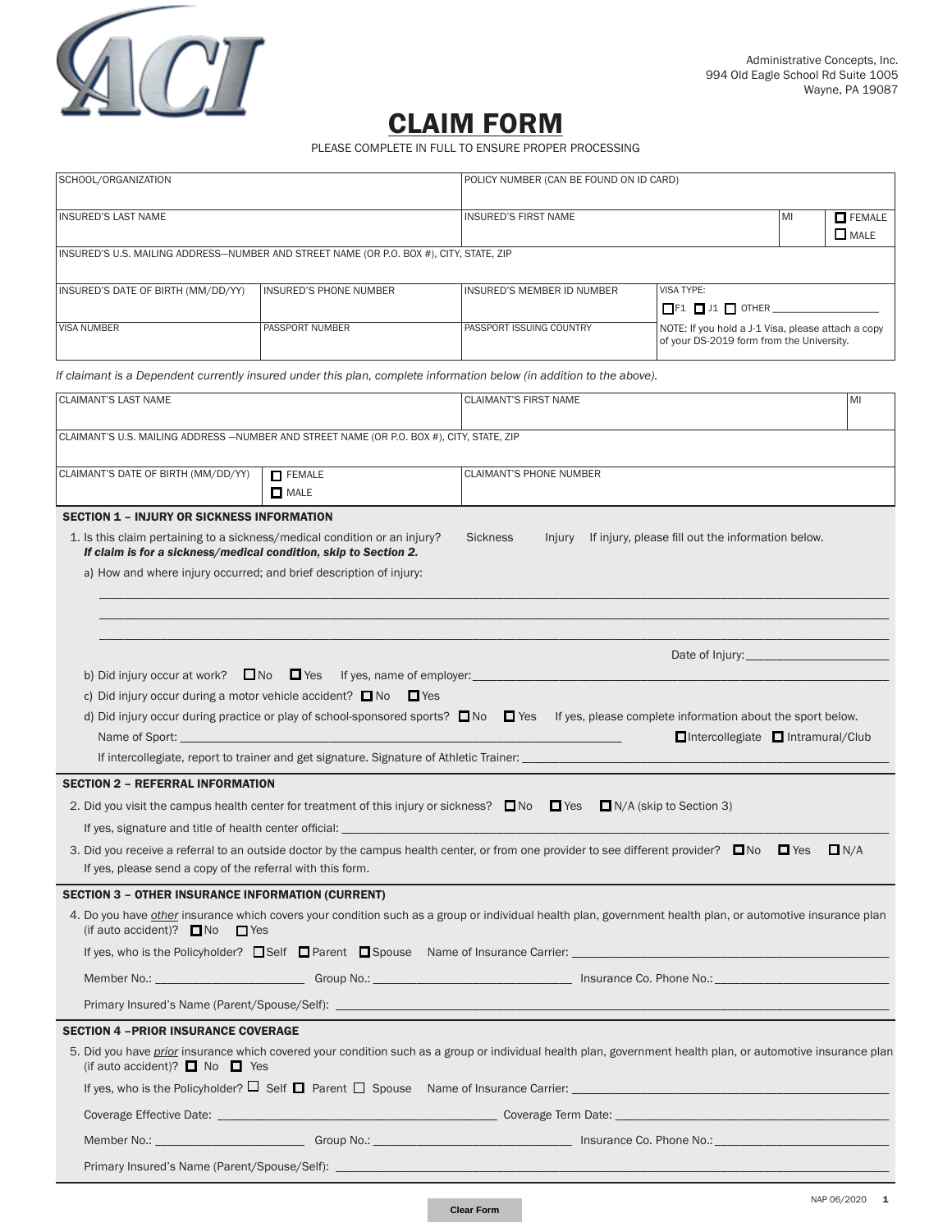

# CLAIM FORM

PLEASE COMPLETE IN FULL TO ENSURE PROPER PROCESSING

| SCHOOL/ORGANIZATION                                                                                                                           |                        | POLICY NUMBER (CAN BE FOUND ON ID CARD)                                                                                                                                                                                               |                                                                                                 |                              |     |  |  |
|-----------------------------------------------------------------------------------------------------------------------------------------------|------------------------|---------------------------------------------------------------------------------------------------------------------------------------------------------------------------------------------------------------------------------------|-------------------------------------------------------------------------------------------------|------------------------------|-----|--|--|
| <b>INSURED'S LAST NAME</b>                                                                                                                    |                        | <b>INSURED'S FIRST NAME</b>                                                                                                                                                                                                           | MI                                                                                              | $\Box$ FEMALE<br>$\Box$ MALE |     |  |  |
| INSURED'S U.S. MAILING ADDRESS-NUMBER AND STREET NAME (OR P.O. BOX #), CITY, STATE, ZIP                                                       |                        |                                                                                                                                                                                                                                       |                                                                                                 |                              |     |  |  |
| INSURED'S DATE OF BIRTH (MM/DD/YY)                                                                                                            | INSURED'S PHONE NUMBER | INSURED'S MEMBER ID NUMBER                                                                                                                                                                                                            | VISA TYPE:                                                                                      |                              |     |  |  |
|                                                                                                                                               |                        |                                                                                                                                                                                                                                       | $\Box$ F1 $\Box$ J1 $\Box$ OTHER $\_\_\_\_\_\_\_\_\_\_\_\_\_\_\_\_$                             |                              |     |  |  |
| <b>VISA NUMBER</b>                                                                                                                            | PASSPORT NUMBER        | PASSPORT ISSUING COUNTRY                                                                                                                                                                                                              | NOTE: If you hold a J-1 Visa, please attach a copy<br>of your DS-2019 form from the University. |                              |     |  |  |
|                                                                                                                                               |                        | If claimant is a Dependent currently insured under this plan, complete information below (in addition to the above).                                                                                                                  |                                                                                                 |                              |     |  |  |
| <b>CLAIMANT'S LAST NAME</b>                                                                                                                   |                        | <b>CLAIMANT'S FIRST NAME</b>                                                                                                                                                                                                          |                                                                                                 |                              | MI  |  |  |
| CLAIMANT'S U.S. MAILING ADDRESS - NUMBER AND STREET NAME (OR P.O. BOX #), CITY, STATE, ZIP                                                    |                        |                                                                                                                                                                                                                                       |                                                                                                 |                              |     |  |  |
| CLAIMANT'S DATE OF BIRTH (MM/DD/YY)                                                                                                           | <b>FEMALE</b>          | <b>CLAIMANT'S PHONE NUMBER</b>                                                                                                                                                                                                        |                                                                                                 |                              |     |  |  |
|                                                                                                                                               | $\Box$ MALE            |                                                                                                                                                                                                                                       |                                                                                                 |                              |     |  |  |
| <b>SECTION 1 - INJURY OR SICKNESS INFORMATION</b>                                                                                             |                        |                                                                                                                                                                                                                                       |                                                                                                 |                              |     |  |  |
| 1. Is this claim pertaining to a sickness/medical condition or an injury?<br>If claim is for a sickness/medical condition, skip to Section 2. |                        | <b>Sickness</b>                                                                                                                                                                                                                       | Injury If injury, please fill out the information below.                                        |                              |     |  |  |
| a) How and where injury occurred; and brief description of injury:                                                                            |                        |                                                                                                                                                                                                                                       |                                                                                                 |                              |     |  |  |
|                                                                                                                                               |                        |                                                                                                                                                                                                                                       |                                                                                                 |                              |     |  |  |
|                                                                                                                                               |                        |                                                                                                                                                                                                                                       |                                                                                                 |                              |     |  |  |
|                                                                                                                                               |                        |                                                                                                                                                                                                                                       |                                                                                                 |                              |     |  |  |
|                                                                                                                                               |                        | b) Did injury occur at work? $\Box$ No $\Box$ Yes If yes, name of employer:                                                                                                                                                           |                                                                                                 |                              |     |  |  |
| c) Did injury occur during a motor vehicle accident? $\Box$ No                                                                                | $\Box$ Yes             |                                                                                                                                                                                                                                       |                                                                                                 |                              |     |  |  |
|                                                                                                                                               |                        | d) Did injury occur during practice or play of school-sponsored sports? $\square$ No $\square$ Yes If yes, please complete information about the sport below.                                                                         |                                                                                                 |                              |     |  |  |
| Name of Sport: __________                                                                                                                     |                        |                                                                                                                                                                                                                                       | □Intercollegiate □ Intramural/Club                                                              |                              |     |  |  |
|                                                                                                                                               |                        | If intercollegiate, report to trainer and get signature. Signature of Athletic Trainer: ______________________                                                                                                                        |                                                                                                 |                              |     |  |  |
| <b>SECTION 2 - REFERRAL INFORMATION</b>                                                                                                       |                        |                                                                                                                                                                                                                                       |                                                                                                 |                              |     |  |  |
|                                                                                                                                               |                        | 2. Did you visit the campus health center for treatment of this injury or sickness? $\Box$ No $\Box$ Yes $\Box$ N/A (skip to Section 3)                                                                                               |                                                                                                 |                              |     |  |  |
| If yes, signature and title of health center official: _________________________                                                              |                        |                                                                                                                                                                                                                                       |                                                                                                 |                              |     |  |  |
|                                                                                                                                               |                        | 3. Did you receive a referral to an outside doctor by the campus health center, or from one provider to see different provider? $\square$ No $\square$ Yes                                                                            |                                                                                                 |                              | N/A |  |  |
| If yes, please send a copy of the referral with this form.                                                                                    |                        |                                                                                                                                                                                                                                       |                                                                                                 |                              |     |  |  |
| <b>SECTION 3 - OTHER INSURANCE INFORMATION (CURRENT)</b>                                                                                      |                        |                                                                                                                                                                                                                                       |                                                                                                 |                              |     |  |  |
| (if auto accident)? $\Box$ No<br>$\Box$ Yes                                                                                                   |                        | 4. Do you have other insurance which covers your condition such as a group or individual health plan, government health plan, or automotive insurance plan                                                                            |                                                                                                 |                              |     |  |  |
|                                                                                                                                               |                        |                                                                                                                                                                                                                                       |                                                                                                 |                              |     |  |  |
|                                                                                                                                               |                        | Member No.: Change of Communication Crown Crown Communication Communication Communication Communication Communication Communication Communication Communication Communication Communication Communication Communication Commun        |                                                                                                 |                              |     |  |  |
|                                                                                                                                               |                        | Primary Insured's Name (Parent/Spouse/Self): Name of the Contract of the Contract of the Contract of the Contract of the Contract of the Contract of the Contract of the Contract of the Contract of the Contract of the Contr        |                                                                                                 |                              |     |  |  |
| <b>SECTION 4 - PRIOR INSURANCE COVERAGE</b>                                                                                                   |                        |                                                                                                                                                                                                                                       |                                                                                                 |                              |     |  |  |
| (if auto accident)? $\Box$ No $\Box$ Yes                                                                                                      |                        | 5. Did you have <i>prior</i> insurance which covered your condition such as a group or individual health plan, government health plan, or automotive insurance plan                                                                   |                                                                                                 |                              |     |  |  |
|                                                                                                                                               |                        | If yes, who is the Policyholder? $\Box$ Self $\Box$ Parent $\Box$ Spouse Name of Insurance Carrier: $\Box$ Alternative Carrier and Alternative Carrier and Alternative Carrier and Alternative Carrier and Alternative Carrier and Al |                                                                                                 |                              |     |  |  |
|                                                                                                                                               |                        |                                                                                                                                                                                                                                       |                                                                                                 |                              |     |  |  |
|                                                                                                                                               |                        |                                                                                                                                                                                                                                       |                                                                                                 |                              |     |  |  |
|                                                                                                                                               |                        |                                                                                                                                                                                                                                       |                                                                                                 |                              |     |  |  |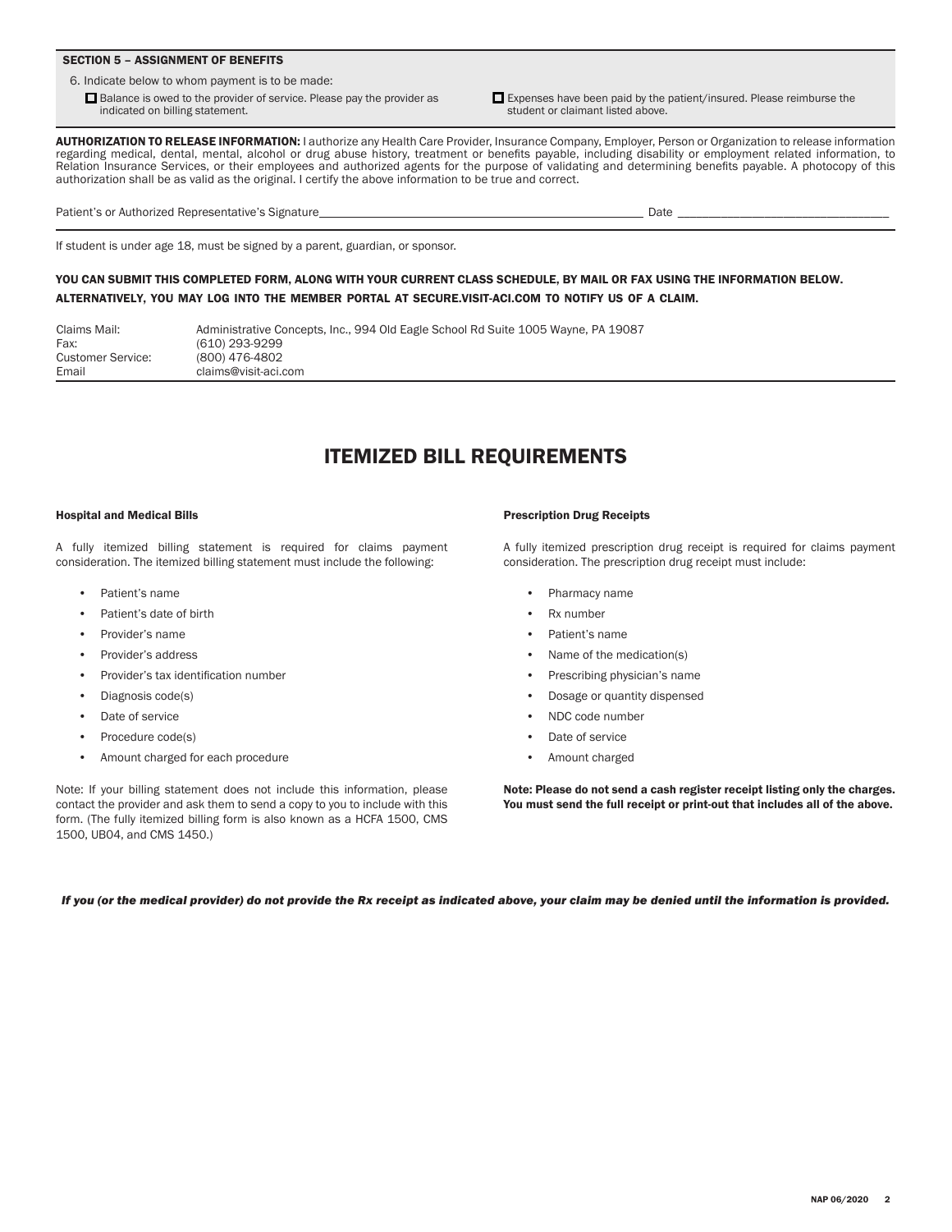### SECTION 5 – ASSIGNMENT OF BENEFITS

6. Indicate below to whom payment is to be made:

 $\Box$  Balance is owed to the provider of service. Please pay the provider as indicated on billing statement.

 $\Box$  Expenses have been paid by the patient/insured. Please reimburse the student or claimant listed above.

AUTHORIZATION TO RELEASE INFORMATION: I authorize any Health Care Provider, Insurance Company, Employer, Person or Organization to release information regarding medical, dental, mental, alcohol or drug abuse history, treatment or benefits payable, including disability or employment related information, to Relation Insurance Services, or their employees and authorized agents for the purpose of validating and determining benefits payable. A photocopy of this authorization shall be as valid as the original. I certify the above information to be true and correct.

Patient's or Authorized Representative's Signature Date Date 2014 and 2016 and 2016 and 2016 and 2016 and 2016

# If student is under age 18, must be signed by a parent, guardian, or sponsor.

## YOU CAN SUBMIT THIS COMPLETED FORM, ALONG WITH YOUR CURRENT CLASS SCHEDULE, BY MAIL OR FAX USING THE INFORMATION BELOW. ALTERNATIVELY, YOU MAY LOG INTO THE MEMBER PORTAL AT [SECURE.VISIT-ACI](https://myaccount.coverage2u.com/Student).COM TO NOTIFY US OF A CLAIM.

| Claims Mail:      | Administrative Concepts, Inc., 994 Old Eagle School Rd Suite 1005 Wayne, PA 19087 |
|-------------------|-----------------------------------------------------------------------------------|
| Fax:              | (610) 293-9299                                                                    |
| Customer Service: | (800) 476-4802                                                                    |
| Email             | claims@visit-aci.com                                                              |

## ITEMIZED BILL REQUIREMENTS

### Hospital and Medical Bills

A fully itemized billing statement is required for claims payment consideration. The itemized billing statement must include the following:

- Patient's name
- Patient's date of birth
- Provider's name
- Provider's address
- Provider's tax identification number
- Diagnosis code(s)
- Date of service
- Procedure code(s)
- Amount charged for each procedure

Note: If your billing statement does not include this information, please contact the provider and ask them to send a copy to you to include with this form. (The fully itemized billing form is also known as a HCFA 1500, CMS 1500, UB04, and CMS 1450.)

#### Prescription Drug Receipts

A fully itemized prescription drug receipt is required for claims payment consideration. The prescription drug receipt must include:

- Pharmacy name
- Rx number
- Patient's name
- Name of the medication(s)
- Prescribing physician's name
- Dosage or quantity dispensed
- NDC code number
- Date of service
- Amount charged

Note: Please do not send a cash register receipt listing only the charges. You must send the full receipt or print-out that includes all of the above.

*If you (or the medical provider) do not provide the Rx receipt as indicated above, your claim may be denied until the information is provided.*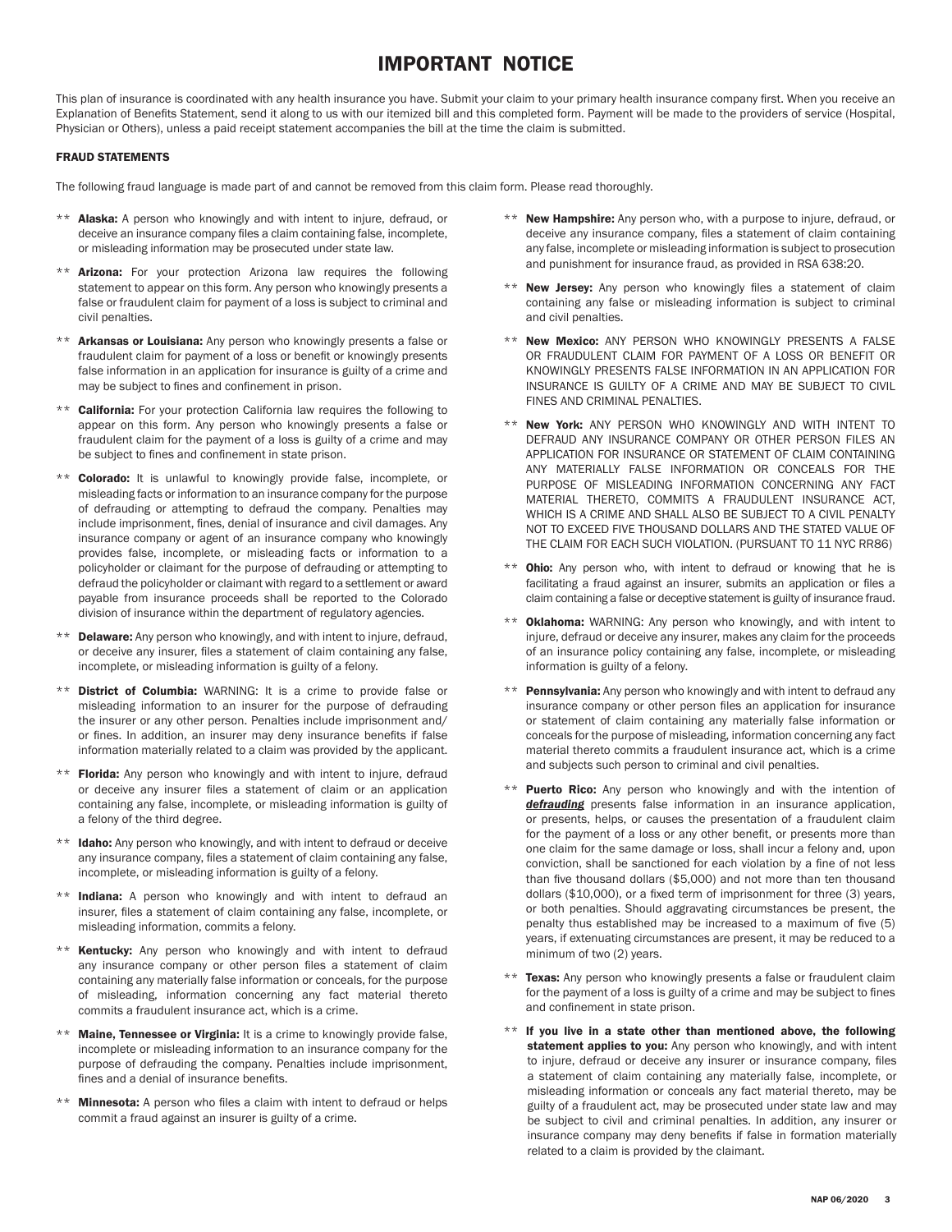## IMPORTANT NOTICE

This plan of insurance is coordinated with any health insurance you have. Submit your claim to your primary health insurance company first. When you receive an Explanation of Benefits Statement, send it along to us with our itemized bill and this completed form. Payment will be made to the providers of service (Hospital, Physician or Others), unless a paid receipt statement accompanies the bill at the time the claim is submitted.

### FRAUD STATEMENTS

The following fraud language is made part of and cannot be removed from this claim form. Please read thoroughly.

- \*\* **Alaska:** A person who knowingly and with intent to injure, defraud, or deceive an insurance company files a claim containing false, incomplete, or misleading information may be prosecuted under state law.
- \*\* **Arizona:** For your protection Arizona law requires the following statement to appear on this form. Any person who knowingly presents a false or fraudulent claim for payment of a loss is subject to criminal and civil penalties.
- \*\* Arkansas or Louisiana: Any person who knowingly presents a false or fraudulent claim for payment of a loss or benefit or knowingly presents false information in an application for insurance is guilty of a crime and may be subject to fines and confinement in prison.
- California: For your protection California law requires the following to appear on this form. Any person who knowingly presents a false or fraudulent claim for the payment of a loss is guilty of a crime and may be subject to fines and confinement in state prison.
- \*\* Colorado: It is unlawful to knowingly provide false, incomplete, or misleading facts or information to an insurance company for the purpose of defrauding or attempting to defraud the company. Penalties may include imprisonment, fines, denial of insurance and civil damages. Any insurance company or agent of an insurance company who knowingly provides false, incomplete, or misleading facts or information to a policyholder or claimant for the purpose of defrauding or attempting to defraud the policyholder or claimant with regard to a settlement or award payable from insurance proceeds shall be reported to the Colorado division of insurance within the department of regulatory agencies.
- Delaware: Any person who knowingly, and with intent to injure, defraud, or deceive any insurer, files a statement of claim containing any false, incomplete, or misleading information is guilty of a felony.
- \*\* District of Columbia: WARNING: It is a crime to provide false or misleading information to an insurer for the purpose of defrauding the insurer or any other person. Penalties include imprisonment and/ or fines. In addition, an insurer may deny insurance benefits if false information materially related to a claim was provided by the applicant.
- \*\* Florida: Any person who knowingly and with intent to injure, defraud or deceive any insurer files a statement of claim or an application containing any false, incomplete, or misleading information is guilty of a felony of the third degree.
- \*\* Idaho: Any person who knowingly, and with intent to defraud or deceive any insurance company, files a statement of claim containing any false, incomplete, or misleading information is guilty of a felony.
- \*\* Indiana: A person who knowingly and with intent to defraud an insurer, files a statement of claim containing any false, incomplete, or misleading information, commits a felony.
- \*\* Kentucky: Any person who knowingly and with intent to defraud any insurance company or other person files a statement of claim containing any materially false information or conceals, for the purpose of misleading, information concerning any fact material thereto commits a fraudulent insurance act, which is a crime.
- Maine, Tennessee or Virginia: It is a crime to knowingly provide false, incomplete or misleading information to an insurance company for the purpose of defrauding the company. Penalties include imprisonment, fines and a denial of insurance benefits.
- \*\* Minnesota: A person who files a claim with intent to defraud or helps commit a fraud against an insurer is guilty of a crime.
- \*\* New Hampshire: Any person who, with a purpose to injure, defraud, or deceive any insurance company, files a statement of claim containing any false, incomplete or misleading information is subject to prosecution and punishment for insurance fraud, as provided in RSA 638:20.
- \*\* New Jersey: Any person who knowingly files a statement of claim containing any false or misleading information is subject to criminal and civil penalties.
- \*\* New Mexico: ANY PERSON WHO KNOWINGLY PRESENTS A FALSE OR FRAUDULENT CLAIM FOR PAYMENT OF A LOSS OR BENEFIT OR KNOWINGLY PRESENTS FALSE INFORMATION IN AN APPLICATION FOR INSURANCE IS GUILTY OF A CRIME AND MAY BE SUBJECT TO CIVIL FINES AND CRIMINAL PENALTIES.
- \*\* New York: ANY PERSON WHO KNOWINGLY AND WITH INTENT TO DEFRAUD ANY INSURANCE COMPANY OR OTHER PERSON FILES AN APPLICATION FOR INSURANCE OR STATEMENT OF CLAIM CONTAINING ANY MATERIALLY FALSE INFORMATION OR CONCEALS FOR THE PURPOSE OF MISLEADING INFORMATION CONCERNING ANY FACT MATERIAL THERETO, COMMITS A FRAUDULENT INSURANCE ACT, WHICH IS A CRIME AND SHALL ALSO BE SUBJECT TO A CIVIL PENALTY NOT TO EXCEED FIVE THOUSAND DOLLARS AND THE STATED VALUE OF THE CLAIM FOR EACH SUCH VIOLATION. (PURSUANT TO 11 NYC RR86)
- Ohio: Any person who, with intent to defraud or knowing that he is facilitating a fraud against an insurer, submits an application or files a claim containing a false or deceptive statement is guilty of insurance fraud.
- Oklahoma: WARNING: Any person who knowingly, and with intent to injure, defraud or deceive any insurer, makes any claim for the proceeds of an insurance policy containing any false, incomplete, or misleading information is guilty of a felony.
- Pennsylvania: Any person who knowingly and with intent to defraud any insurance company or other person files an application for insurance or statement of claim containing any materially false information or conceals for the purpose of misleading, information concerning any fact material thereto commits a fraudulent insurance act, which is a crime and subjects such person to criminal and civil penalties.
- Puerto Rico: Any person who knowingly and with the intention of *defrauding* presents false information in an insurance application, or presents, helps, or causes the presentation of a fraudulent claim for the payment of a loss or any other benefit, or presents more than one claim for the same damage or loss, shall incur a felony and, upon conviction, shall be sanctioned for each violation by a fine of not less than five thousand dollars (\$5,000) and not more than ten thousand dollars (\$10,000), or a fixed term of imprisonment for three (3) years, or both penalties. Should aggravating circumstances be present, the penalty thus established may be increased to a maximum of five (5) years, if extenuating circumstances are present, it may be reduced to a minimum of two (2) years.
- \*\* Texas: Any person who knowingly presents a false or fraudulent claim for the payment of a loss is guilty of a crime and may be subject to fines and confinement in state prison.
- $**$  If you live in a state other than mentioned above, the following statement applies to you: Any person who knowingly, and with intent to injure, defraud or deceive any insurer or insurance company, files a statement of claim containing any materially false, incomplete, or misleading information or conceals any fact material thereto, may be guilty of a fraudulent act, may be prosecuted under state law and may be subject to civil and criminal penalties. In addition, any insurer or insurance company may deny benefits if false in formation materially related to a claim is provided by the claimant.